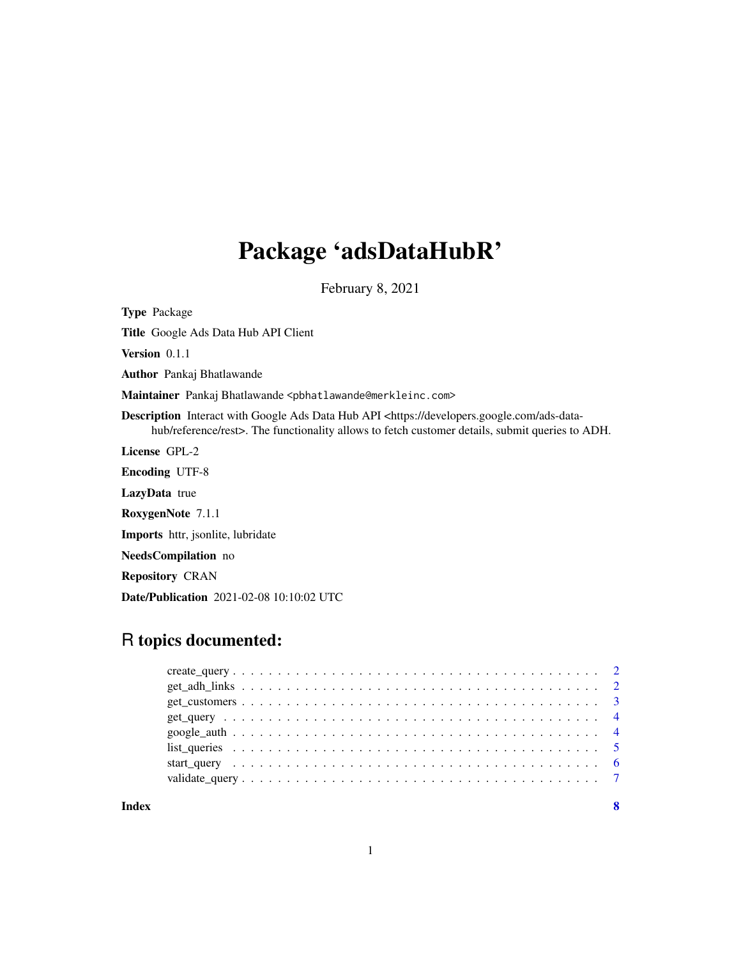# Package 'adsDataHubR'

February 8, 2021

Type Package

Title Google Ads Data Hub API Client

Version 0.1.1

Author Pankaj Bhatlawande

Maintainer Pankaj Bhatlawande <pbhatlawande@merkleinc.com>

Description Interact with Google Ads Data Hub API <https://developers.google.com/ads-datahub/reference/rest>. The functionality allows to fetch customer details, submit queries to ADH.

License GPL-2

Encoding UTF-8

LazyData true

RoxygenNote 7.1.1

Imports httr, jsonlite, lubridate

NeedsCompilation no

Repository CRAN

Date/Publication 2021-02-08 10:10:02 UTC

# R topics documented:

|  |  |  |  |  |  |  |  |  |  |  |  |  |  |  |  |  |  | -8 |
|--|--|--|--|--|--|--|--|--|--|--|--|--|--|--|--|--|--|----|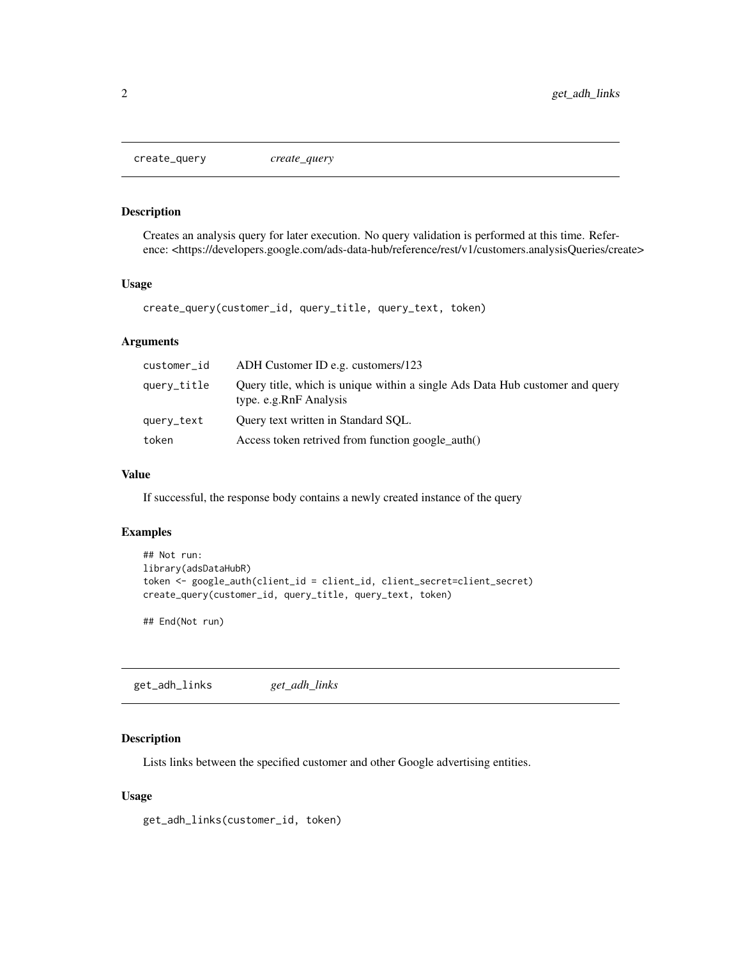<span id="page-1-0"></span>create\_query *create\_query*

# Description

Creates an analysis query for later execution. No query validation is performed at this time. Reference: <https://developers.google.com/ads-data-hub/reference/rest/v1/customers.analysisQueries/create>

#### Usage

create\_query(customer\_id, query\_title, query\_text, token)

#### Arguments

| customer_id | ADH Customer ID e.g. customers/123                                                                     |
|-------------|--------------------------------------------------------------------------------------------------------|
| query_title | Ouery title, which is unique within a single Ads Data Hub customer and query<br>type. e.g.RnF Analysis |
| query_text  | Ouery text written in Standard SOL.                                                                    |
| token       | Access token retrived from function google_auth()                                                      |

# Value

If successful, the response body contains a newly created instance of the query

# Examples

```
## Not run:
library(adsDataHubR)
token <- google_auth(client_id = client_id, client_secret=client_secret)
create_query(customer_id, query_title, query_text, token)
```
## End(Not run)

get\_adh\_links *get\_adh\_links*

# Description

Lists links between the specified customer and other Google advertising entities.

#### Usage

get\_adh\_links(customer\_id, token)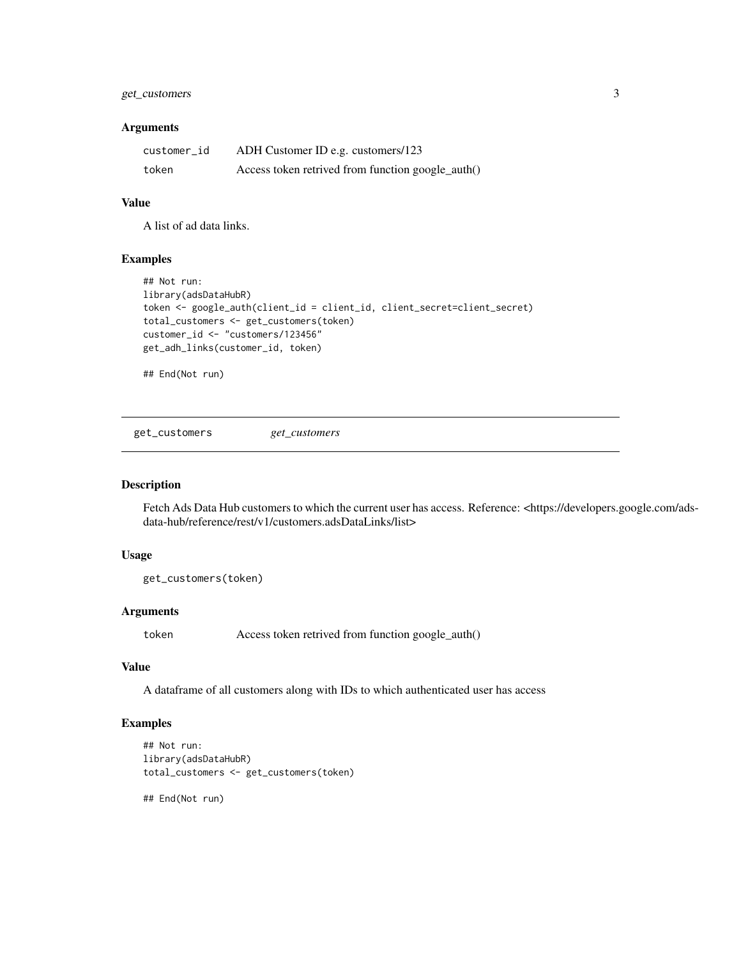# <span id="page-2-0"></span>get\_customers 3

#### Arguments

| customer_id | ADH Customer ID e.g. customers/123                |
|-------------|---------------------------------------------------|
| token       | Access token retrived from function google_auth() |

#### Value

A list of ad data links.

# Examples

```
## Not run:
library(adsDataHubR)
token <- google_auth(client_id = client_id, client_secret=client_secret)
total_customers <- get_customers(token)
customer_id <- "customers/123456"
get_adh_links(customer_id, token)
```
## End(Not run)

get\_customers *get\_customers*

#### Description

Fetch Ads Data Hub customers to which the current user has access. Reference: <https://developers.google.com/adsdata-hub/reference/rest/v1/customers.adsDataLinks/list>

#### Usage

get\_customers(token)

#### Arguments

token Access token retrived from function google\_auth()

# Value

A dataframe of all customers along with IDs to which authenticated user has access

# Examples

```
## Not run:
library(adsDataHubR)
total_customers <- get_customers(token)
```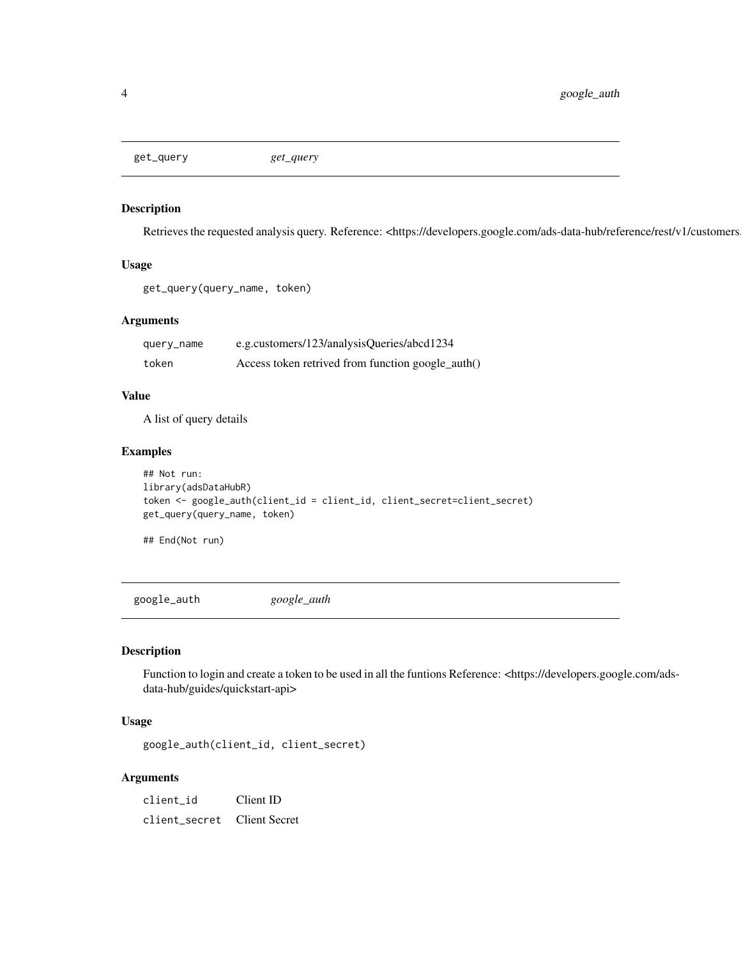<span id="page-3-0"></span>get\_query *get\_query*

# Description

Retrieves the requested analysis query. Reference: <https://developers.google.com/ads-data-hub/reference/rest/v1/customers

#### Usage

```
get_query(query_name, token)
```
# Arguments

| query_name | e.g.customers/123/analysisQueries/abcd1234        |
|------------|---------------------------------------------------|
| token      | Access token retrived from function google_auth() |

#### Value

A list of query details

# Examples

```
## Not run:
library(adsDataHubR)
token <- google_auth(client_id = client_id, client_secret=client_secret)
get_query(query_name, token)
```
## End(Not run)

google\_auth *google\_auth*

# Description

Function to login and create a token to be used in all the funtions Reference: <https://developers.google.com/adsdata-hub/guides/quickstart-api>

#### Usage

google\_auth(client\_id, client\_secret)

# Arguments

client\_id Client ID client\_secret Client Secret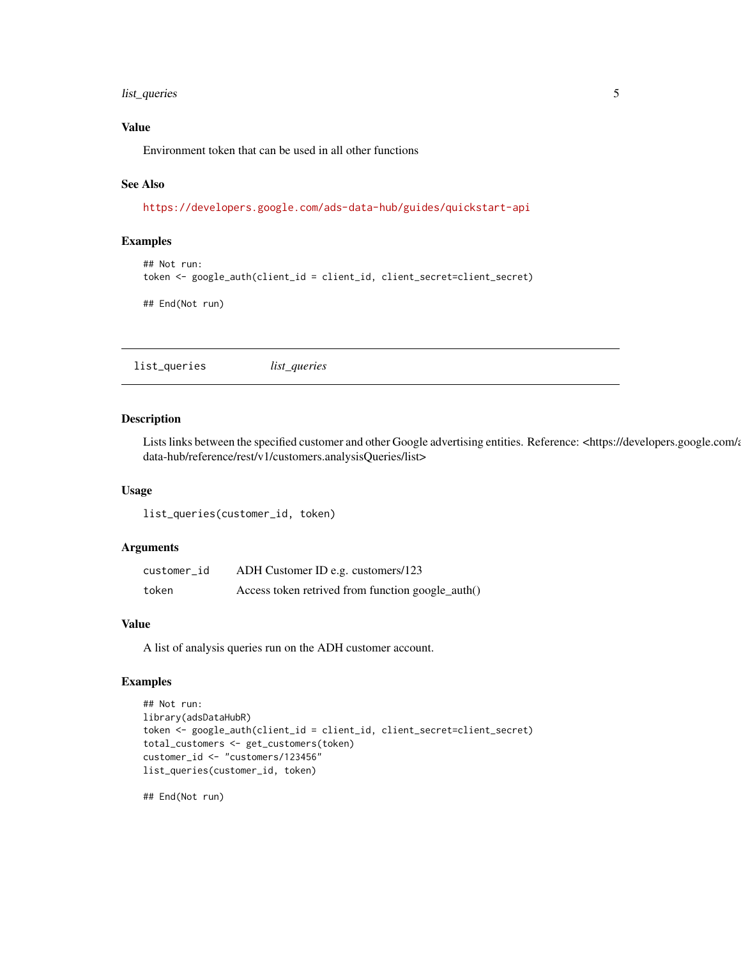# <span id="page-4-0"></span>list\_queries 5

#### Value

Environment token that can be used in all other functions

# See Also

<https://developers.google.com/ads-data-hub/guides/quickstart-api>

#### Examples

```
## Not run:
token <- google_auth(client_id = client_id, client_secret=client_secret)
```
## End(Not run)

list\_queries *list\_queries*

#### Description

Lists links between the specified customer and other Google advertising entities. Reference: <https://developers.google.com/a data-hub/reference/rest/v1/customers.analysisQueries/list>

#### Usage

list\_queries(customer\_id, token)

#### Arguments

| customer_id | ADH Customer ID e.g. customers/123                |
|-------------|---------------------------------------------------|
| token       | Access token retrived from function google_auth() |

#### Value

A list of analysis queries run on the ADH customer account.

#### Examples

```
## Not run:
library(adsDataHubR)
token <- google_auth(client_id = client_id, client_secret=client_secret)
total_customers <- get_customers(token)
customer_id <- "customers/123456"
list_queries(customer_id, token)
```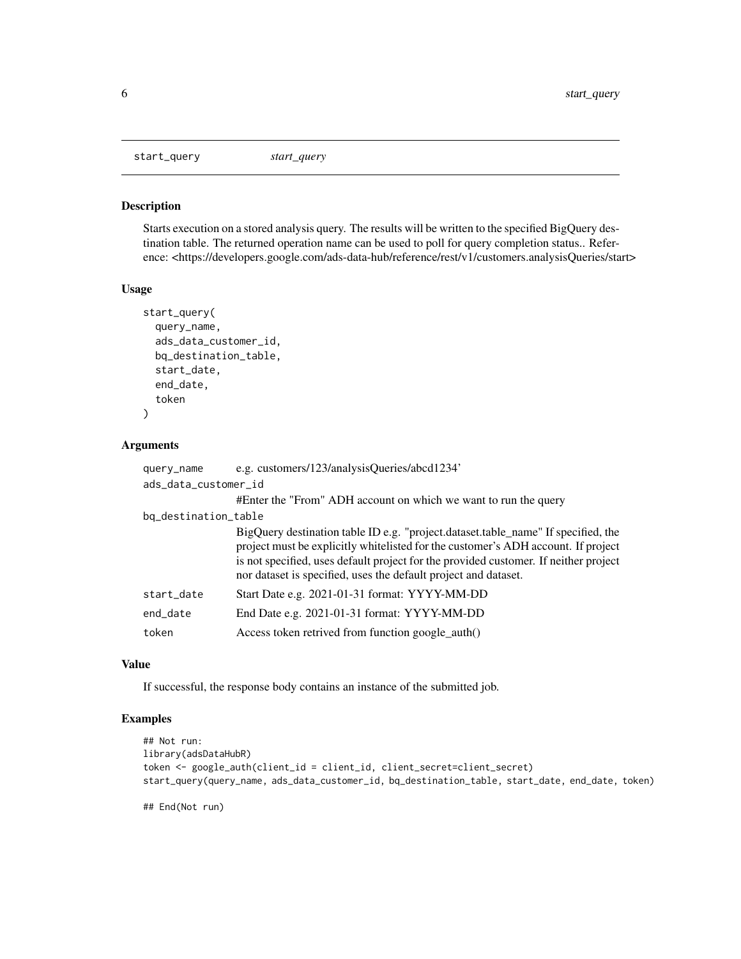<span id="page-5-0"></span>start\_query *start\_query*

# Description

Starts execution on a stored analysis query. The results will be written to the specified BigQuery destination table. The returned operation name can be used to poll for query completion status.. Reference: <https://developers.google.com/ads-data-hub/reference/rest/v1/customers.analysisQueries/start>

#### Usage

```
start_query(
  query_name,
  ads_data_customer_id,
  bq_destination_table,
  start_date,
  end_date,
  token
\mathcal{L}
```
# Arguments

| query_name           | e.g. customers/123/analysisQueries/abcd1234'                                                                                                                                                                                                                                                                                       |
|----------------------|------------------------------------------------------------------------------------------------------------------------------------------------------------------------------------------------------------------------------------------------------------------------------------------------------------------------------------|
| ads_data_customer_id |                                                                                                                                                                                                                                                                                                                                    |
|                      | #Enter the "From" ADH account on which we want to run the query                                                                                                                                                                                                                                                                    |
| bq_destination_table |                                                                                                                                                                                                                                                                                                                                    |
|                      | BigQuery destination table ID e.g. "project.dataset.table_name" If specified, the<br>project must be explicitly white listed for the customer's ADH account. If project<br>is not specified, uses default project for the provided customer. If neither project<br>nor dataset is specified, uses the default project and dataset. |
| start_date           | Start Date e.g. 2021-01-31 format: YYYY-MM-DD                                                                                                                                                                                                                                                                                      |
| end_date             | End Date e.g. 2021-01-31 format: YYYY-MM-DD                                                                                                                                                                                                                                                                                        |
| token                | Access token retrived from function google auth()                                                                                                                                                                                                                                                                                  |

#### Value

If successful, the response body contains an instance of the submitted job.

# Examples

```
## Not run:
library(adsDataHubR)
token <- google_auth(client_id = client_id, client_secret=client_secret)
start_query(query_name, ads_data_customer_id, bq_destination_table, start_date, end_date, token)
```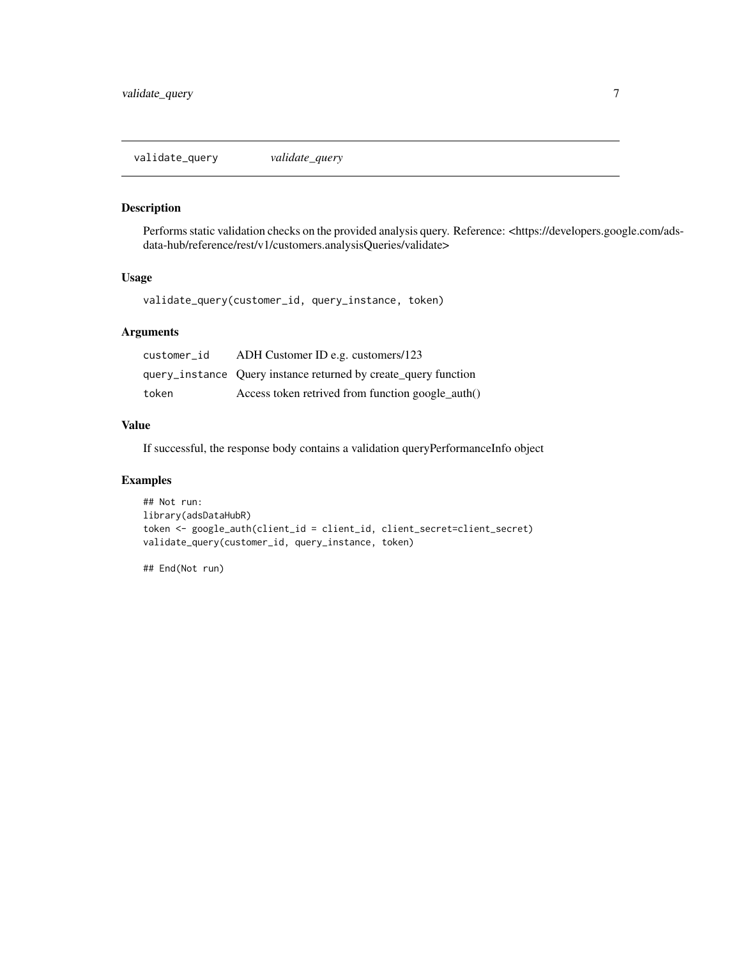<span id="page-6-0"></span>validate\_query *validate\_query*

# Description

Performs static validation checks on the provided analysis query. Reference: <https://developers.google.com/adsdata-hub/reference/rest/v1/customers.analysisQueries/validate>

#### Usage

validate\_query(customer\_id, query\_instance, token)

# Arguments

| customer id | ADH Customer ID e.g. customers/123                              |
|-------------|-----------------------------------------------------------------|
|             | query_instance Query instance returned by create_query function |
| token       | Access token retrived from function google_auth()               |

#### Value

If successful, the response body contains a validation queryPerformanceInfo object

#### Examples

```
## Not run:
library(adsDataHubR)
token <- google_auth(client_id = client_id, client_secret=client_secret)
validate_query(customer_id, query_instance, token)
```